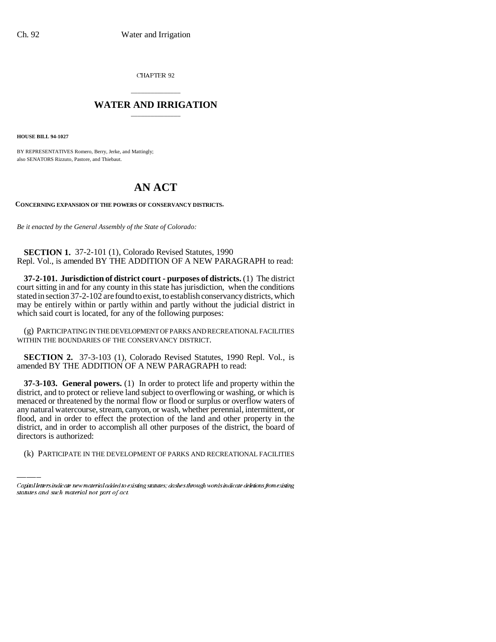CHAPTER 92

## \_\_\_\_\_\_\_\_\_\_\_\_\_\_\_ **WATER AND IRRIGATION** \_\_\_\_\_\_\_\_\_\_\_\_\_\_\_

**HOUSE BILL 94-1027**

BY REPRESENTATIVES Romero, Berry, Jerke, and Mattingly; also SENATORS Rizzuto, Pastore, and Thiebaut.

## **AN ACT**

**CONCERNING EXPANSION OF THE POWERS OF CONSERVANCY DISTRICTS.**

*Be it enacted by the General Assembly of the State of Colorado:*

**SECTION 1.** 37-2-101 (1), Colorado Revised Statutes, 1990 Repl. Vol., is amended BY THE ADDITION OF A NEW PARAGRAPH to read:

**37-2-101. Jurisdiction of district court - purposes of districts.** (1) The district court sitting in and for any county in this state has jurisdiction, when the conditions stated in section 37-2-102 are found to exist, to establish conservancy districts, which may be entirely within or partly within and partly without the judicial district in which said court is located, for any of the following purposes:

(g) PARTICIPATING IN THE DEVELOPMENT OF PARKS AND RECREATIONAL FACILITIES WITHIN THE BOUNDARIES OF THE CONSERVANCY DISTRICT.

**SECTION 2.** 37-3-103 (1), Colorado Revised Statutes, 1990 Repl. Vol., is amended BY THE ADDITION OF A NEW PARAGRAPH to read:

flood, and in order to effect the protection of the land and other property in the **37-3-103. General powers.** (1) In order to protect life and property within the district, and to protect or relieve land subject to overflowing or washing, or which is menaced or threatened by the normal flow or flood or surplus or overflow waters of any natural watercourse, stream, canyon, or wash, whether perennial, intermittent, or district, and in order to accomplish all other purposes of the district, the board of directors is authorized:

(k) PARTICIPATE IN THE DEVELOPMENT OF PARKS AND RECREATIONAL FACILITIES

Capital letters indicate new material added to existing statutes; dashes through words indicate deletions from existing statutes and such material not part of act.